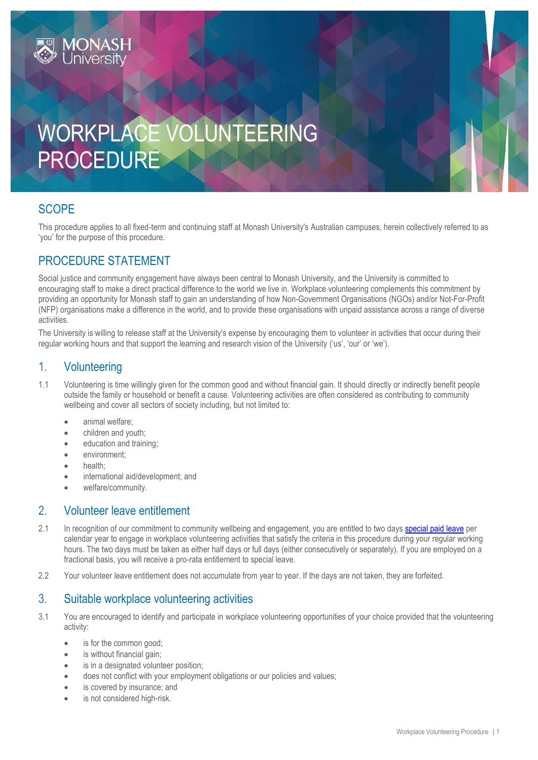

## **SCOPE**

This procedure applies to all fixed-term and continuing staff at Monash University's Australian campuses, herein collectively referred to as 'you' for the purpose of this procedure.

## PROCEDURE STATEMENT

Social justice and community engagement have always been central to Monash University, and the University is committed to encouraging staff to make a direct practical difference to the world we live in. Workplace volunteering complements this commitment by providing an opportunity for Monash staff to gain an understanding of how Non-Government Organisations (NGOs) and/or Not-For-Profit (NFP) organisations make a difference in the world, and to provide these organisations with unpaid assistance across a range of diverse activities.

The University is willing to release staff at the University's expense by encouraging them to volunteer in activities that occur during their regular working hours and that support the learning and research vision of the University ('us', 'our' or 'we').

## 1. Volunteering

- 1.1 Volunteering is time willingly given for the common good and without financial gain. It should directly or indirectly benefit people outside the family or household or benefit a cause. Volunteering activities are often considered as contributing to community wellbeing and cover all sectors of society including, but not limited to:
	- animal welfare;
	- children and youth;
	- **e** education and training;
	- environment;
	- health:
	- international aid/development; and
	- welfare/community.

## 2. Volunteer leave entitlement

- 2.1 In recognition of our commitment to community wellbeing and engagement, you are entitled to two days [special paid leave](http://www.monash.edu/__data/assets/pdf_file/0003/800643/Special-leave.pdf) per calendar year to engage in workplace volunteering activities that satisfy the criteria in this procedure during your regular working hours. The two days must be taken as either half days or full days (either consecutively or separately). If you are employed on a fractional basis, you will receive a pro-rata entitlement to special leave.
- 2.2 Your volunteer leave entitlement does not accumulate from year to year. If the days are not taken, they are forfeited.

### 3. Suitable workplace volunteering activities

- 3.1 You are encouraged to identify and participate in workplace volunteering opportunities of your choice provided that the volunteering activity:
	- is for the common good;
	- is without financial gain;
	- is in a designated volunteer position;
	- does not conflict with your employment obligations or our policies and values;
	- is covered by insurance; and
	- is not considered high-risk.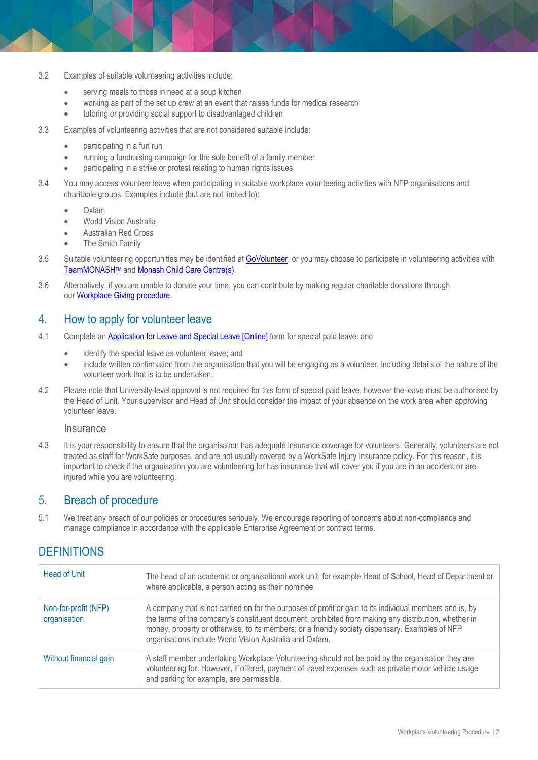- 3.2 Examples of suitable volunteering activities include:
	- serving meals to those in need at a soup kitchen
	- working as part of the set up crew at an event that raises funds for medical research
	- tutoring or providing social support to disadvantaged children
- 3.3 Examples of volunteering activities that are not considered suitable include:
	- participating in a fun run
	- running a fundraising campaign for the sole benefit of a family member
	- participating in a strike or protest relating to human rights issues
- 3.4 You may access volunteer leave when participating in suitable workplace volunteering activities with NFP organisations and charitable groups. Examples include (but are not limited to):
	- Oxfam
	- World Vision Australia
	- Australian Red Cross
	- The Smith Family
- 3.5 Suitable volunteering opportunities may be identified at **GoVolunteer**, or you may choose to participate in volunteering activities with [TeamMONASH](https://www.monash.edu/teammonash/volunteer)TM and [Monash Child Care Centre\(s\).](https://www.monash.edu/childcare)
- 3.6 Alternatively, if you are unable to donate your time, you can contribute by making regular charitable donations through our [Workplace Giving procedure.](https://publicpolicydms.monash.edu/Monash/documents/1935738)

#### 4. How to apply for volunteer leave

- 4.1 Complete an [Application for Leave and Special Leave \[Online\]](https://www.monash.edu/eforms-resources/frevvo-forms/hr/leave-request) form for special paid leave; and
	- identify the special leave as volunteer leave; and
	- include written confirmation from the organisation that you will be engaging as a volunteer, including details of the nature of the volunteer work that is to be undertaken.
- 4.2 Please note that University-level approval is not required for this form of special paid leave, however the leave must be authorised by the Head of Unit. Your supervisor and Head of Unit should consider the impact of your absence on the work area when approving volunteer leave.

#### **Insurance**

4.3 It is your responsibility to ensure that the organisation has adequate insurance coverage for volunteers. Generally, volunteers are not treated as staff for WorkSafe purposes, and are not usually covered by a WorkSafe Injury Insurance policy. For this reason, it is important to check if the organisation you are volunteering for has insurance that will cover you if you are in an accident or are injured while you are volunteering.

#### 5. Breach of procedure

5.1 We treat any breach of our policies or procedures seriously. We encourage reporting of concerns about non-compliance and manage compliance in accordance with the applicable Enterprise Agreement or contract terms.

## **DEFINITIONS**

| Head of Unit                         | The head of an academic or organisational work unit, for example Head of School, Head of Department or<br>where applicable, a person acting as their nominee.                                                                                                                                                                                                                  |
|--------------------------------------|--------------------------------------------------------------------------------------------------------------------------------------------------------------------------------------------------------------------------------------------------------------------------------------------------------------------------------------------------------------------------------|
| Non-for-profit (NFP)<br>organisation | A company that is not carried on for the purposes of profit or gain to its individual members and is, by<br>the terms of the company's constituent document, prohibited from making any distribution, whether in<br>money, property or otherwise, to its members; or a friendly society dispensary. Examples of NFP<br>organisations include World Vision Australia and Oxfam. |
| Without financial gain               | A staff member undertaking Workplace Volunteering should not be paid by the organisation they are<br>volunteering for. However, if offered, payment of travel expenses such as private motor vehicle usage<br>and parking for example, are permissible.                                                                                                                        |